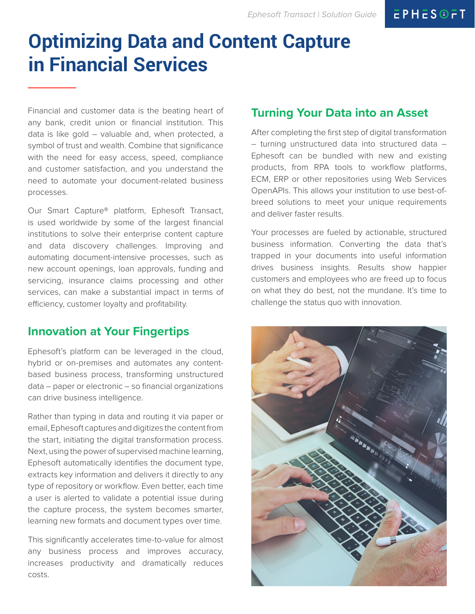# **Optimizing Data and Content Capture in Financial Services**

Financial and customer data is the beating heart of any bank, credit union or financial institution. This data is like gold – valuable and, when protected, a symbol of trust and wealth. Combine that significance with the need for easy access, speed, compliance and customer satisfaction, and you understand the need to automate your document-related business processes.

Our Smart Capture® platform, Ephesoft Transact, is used worldwide by some of the largest financial institutions to solve their enterprise content capture and data discovery challenges. Improving and automating document-intensive processes, such as new account openings, loan approvals, funding and servicing, insurance claims processing and other services, can make a substantial impact in terms of efficiency, customer loyalty and profitability.

# **Innovation at Your Fingertips**

Ephesoft's platform can be leveraged in the cloud, hybrid or on-premises and automates any contentbased business process, transforming unstructured data – paper or electronic – so financial organizations can drive business intelligence.

Rather than typing in data and routing it via paper or email, Ephesoft captures and digitizes the content from the start, initiating the digital transformation process. Next, using the power of supervised machine learning, Ephesoft automatically identifies the document type, extracts key information and delivers it directly to any type of repository or workflow. Even better, each time a user is alerted to validate a potential issue during the capture process, the system becomes smarter, learning new formats and document types over time.

This significantly accelerates time-to-value for almost any business process and improves accuracy, increases productivity and dramatically reduces costs.

# **Turning Your Data into an Asset**

After completing the first step of digital transformation – turning unstructured data into structured data – Ephesoft can be bundled with new and existing products, from RPA tools to workflow platforms, ECM, ERP or other repositories using Web Services OpenAPIs. This allows your institution to use best-ofbreed solutions to meet your unique requirements and deliver faster results.

Your processes are fueled by actionable, structured business information. Converting the data that's trapped in your documents into useful information drives business insights. Results show happier customers and employees who are freed up to focus on what they do best, not the mundane. It's time to challenge the status quo with innovation.